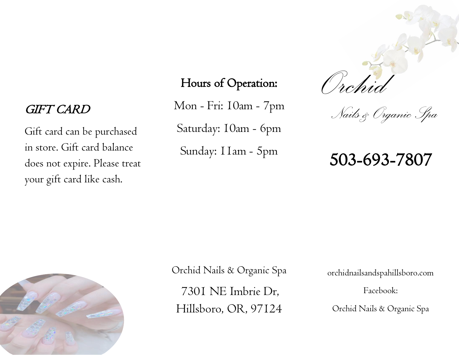Gift card can be purchased in store. Gift card balance does not expire. Please treat your gift card like cash.

## Hours of Operation:

Mon - Fri: 10am - 7pm Saturday: 10am - 6pm Sunday: 11am - 5pm *GIFT CARD* Mon - Fri: I0am - 7pm *Nails & Organic Spa* 

*Orchid*

# 503-693-7807



Orchid Nails & Organic Spa 7301 NE Imbrie Dr, Hillsboro, OR, 97124

orchidnailsandspahillsboro.com

Facebook:

Orchid Nails & Organic Spa